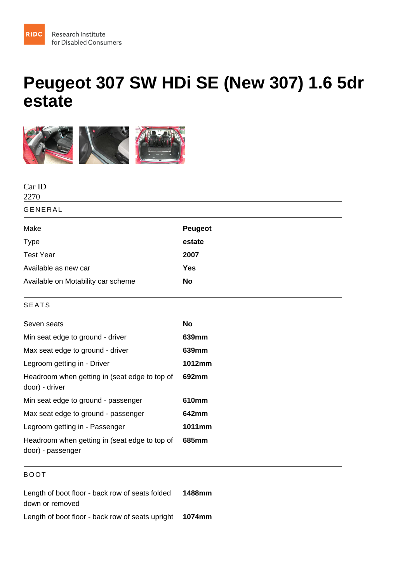## Peugeot 307 SW HDi SE (New 307) 1.6 5dr estate

| Peugeot |
|---------|
| estate  |
| 2007    |
| Yes     |
| No      |
|         |
| No      |
| 639mm   |
| 639mm   |
| 1012mm  |
| 692mm   |
| 610mm   |
| 642mm   |
| 1011mm  |
| 685mm   |
|         |

## BOOT

Length of boot floor - back row of seats folded down or removed 1488mm

Length of boot floor - back row of seats upright 1074mm